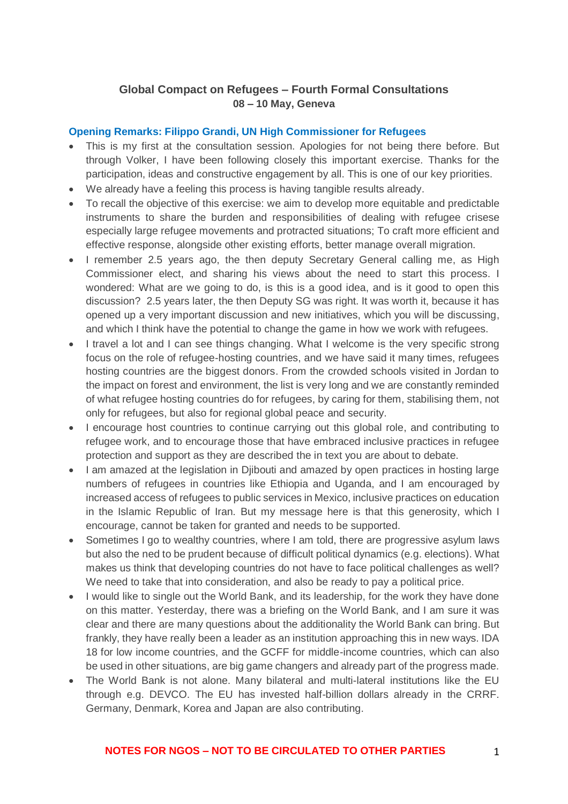## **Global Compact on Refugees – Fourth Formal Consultations 08 – 10 May, Geneva**

#### **Opening Remarks: Filippo Grandi, UN High Commissioner for Refugees**

- This is my first at the consultation session. Apologies for not being there before. But through Volker, I have been following closely this important exercise. Thanks for the participation, ideas and constructive engagement by all. This is one of our key priorities.
- We already have a feeling this process is having tangible results already.
- To recall the objective of this exercise: we aim to develop more equitable and predictable instruments to share the burden and responsibilities of dealing with refugee crisese especially large refugee movements and protracted situations; To craft more efficient and effective response, alongside other existing efforts, better manage overall migration.
- I remember 2.5 years ago, the then deputy Secretary General calling me, as High Commissioner elect, and sharing his views about the need to start this process. I wondered: What are we going to do, is this is a good idea, and is it good to open this discussion? 2.5 years later, the then Deputy SG was right. It was worth it, because it has opened up a very important discussion and new initiatives, which you will be discussing, and which I think have the potential to change the game in how we work with refugees.
- I travel a lot and I can see things changing. What I welcome is the very specific strong focus on the role of refugee-hosting countries, and we have said it many times, refugees hosting countries are the biggest donors. From the crowded schools visited in Jordan to the impact on forest and environment, the list is very long and we are constantly reminded of what refugee hosting countries do for refugees, by caring for them, stabilising them, not only for refugees, but also for regional global peace and security.
- I encourage host countries to continue carrying out this global role, and contributing to refugee work, and to encourage those that have embraced inclusive practices in refugee protection and support as they are described the in text you are about to debate.
- I am amazed at the legislation in Djibouti and amazed by open practices in hosting large numbers of refugees in countries like Ethiopia and Uganda, and I am encouraged by increased access of refugees to public services in Mexico, inclusive practices on education in the Islamic Republic of Iran. But my message here is that this generosity, which I encourage, cannot be taken for granted and needs to be supported.
- Sometimes I go to wealthy countries, where I am told, there are progressive asylum laws but also the ned to be prudent because of difficult political dynamics (e.g. elections). What makes us think that developing countries do not have to face political challenges as well? We need to take that into consideration, and also be ready to pay a political price.
- I would like to single out the World Bank, and its leadership, for the work they have done on this matter. Yesterday, there was a briefing on the World Bank, and I am sure it was clear and there are many questions about the additionality the World Bank can bring. But frankly, they have really been a leader as an institution approaching this in new ways. IDA 18 for low income countries, and the GCFF for middle-income countries, which can also be used in other situations, are big game changers and already part of the progress made.
- The World Bank is not alone. Many bilateral and multi-lateral institutions like the EU through e.g. DEVCO. The EU has invested half-billion dollars already in the CRRF. Germany, Denmark, Korea and Japan are also contributing.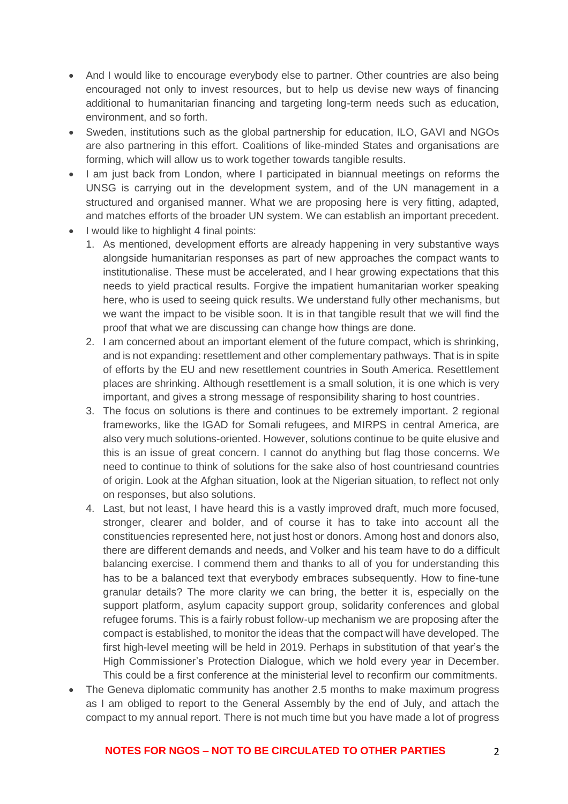- And I would like to encourage everybody else to partner. Other countries are also being encouraged not only to invest resources, but to help us devise new ways of financing additional to humanitarian financing and targeting long-term needs such as education, environment, and so forth.
- Sweden, institutions such as the global partnership for education, ILO, GAVI and NGOs are also partnering in this effort. Coalitions of like-minded States and organisations are forming, which will allow us to work together towards tangible results.
- I am just back from London, where I participated in biannual meetings on reforms the UNSG is carrying out in the development system, and of the UN management in a structured and organised manner. What we are proposing here is very fitting, adapted, and matches efforts of the broader UN system. We can establish an important precedent.
- I would like to highlight 4 final points:
	- 1. As mentioned, development efforts are already happening in very substantive ways alongside humanitarian responses as part of new approaches the compact wants to institutionalise. These must be accelerated, and I hear growing expectations that this needs to yield practical results. Forgive the impatient humanitarian worker speaking here, who is used to seeing quick results. We understand fully other mechanisms, but we want the impact to be visible soon. It is in that tangible result that we will find the proof that what we are discussing can change how things are done.
	- 2. I am concerned about an important element of the future compact, which is shrinking, and is not expanding: resettlement and other complementary pathways. That is in spite of efforts by the EU and new resettlement countries in South America. Resettlement places are shrinking. Although resettlement is a small solution, it is one which is very important, and gives a strong message of responsibility sharing to host countries.
	- 3. The focus on solutions is there and continues to be extremely important. 2 regional frameworks, like the IGAD for Somali refugees, and MIRPS in central America, are also very much solutions-oriented. However, solutions continue to be quite elusive and this is an issue of great concern. I cannot do anything but flag those concerns. We need to continue to think of solutions for the sake also of host countriesand countries of origin. Look at the Afghan situation, look at the Nigerian situation, to reflect not only on responses, but also solutions.
	- 4. Last, but not least, I have heard this is a vastly improved draft, much more focused, stronger, clearer and bolder, and of course it has to take into account all the constituencies represented here, not just host or donors. Among host and donors also, there are different demands and needs, and Volker and his team have to do a difficult balancing exercise. I commend them and thanks to all of you for understanding this has to be a balanced text that everybody embraces subsequently. How to fine-tune granular details? The more clarity we can bring, the better it is, especially on the support platform, asylum capacity support group, solidarity conferences and global refugee forums. This is a fairly robust follow-up mechanism we are proposing after the compact is established, to monitor the ideas that the compact will have developed. The first high-level meeting will be held in 2019. Perhaps in substitution of that year's the High Commissioner's Protection Dialogue, which we hold every year in December. This could be a first conference at the ministerial level to reconfirm our commitments.
- The Geneva diplomatic community has another 2.5 months to make maximum progress as I am obliged to report to the General Assembly by the end of July, and attach the compact to my annual report. There is not much time but you have made a lot of progress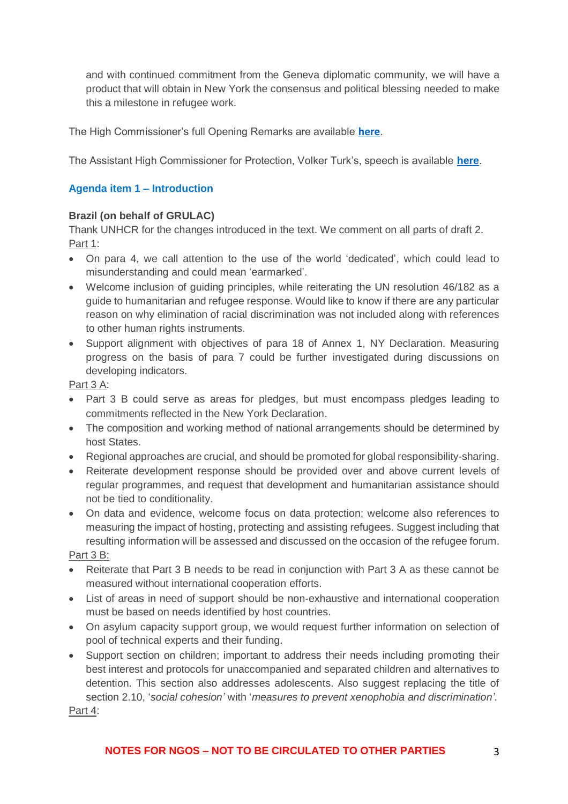and with continued commitment from the Geneva diplomatic community, we will have a product that will obtain in New York the consensus and political blessing needed to make this a milestone in refugee work.

The High Commissioner's full Opening Remarks are available **[here](http://www.unhcr.org/admin/hcspeeches/5b06c3b27/opening-remarks-fourth-formal-consultation-global-compact-refugees.html)**.

The Assistant High Commissioner for Protection, Volker Turk's, speech is available **[here](http://www.unhcr.org/admin/dipstatements/5af18c8e7/opening-remarks-fourth-formal-consultation-global-compact-refugees.html)**.

## **Agenda item 1 – Introduction**

#### **Brazil (on behalf of GRULAC)**

Thank UNHCR for the changes introduced in the text. We comment on all parts of draft 2. Part 1:

- On para 4, we call attention to the use of the world 'dedicated', which could lead to misunderstanding and could mean 'earmarked'.
- Welcome inclusion of guiding principles, while reiterating the UN resolution 46/182 as a guide to humanitarian and refugee response. Would like to know if there are any particular reason on why elimination of racial discrimination was not included along with references to other human rights instruments.
- Support alignment with objectives of para 18 of Annex 1, NY Declaration. Measuring progress on the basis of para 7 could be further investigated during discussions on developing indicators.

Part 3 A:

- Part 3 B could serve as areas for pledges, but must encompass pledges leading to commitments reflected in the New York Declaration.
- The composition and working method of national arrangements should be determined by host States.
- Regional approaches are crucial, and should be promoted for global responsibility-sharing.
- Reiterate development response should be provided over and above current levels of regular programmes, and request that development and humanitarian assistance should not be tied to conditionality.
- On data and evidence, welcome focus on data protection; welcome also references to measuring the impact of hosting, protecting and assisting refugees. Suggest including that resulting information will be assessed and discussed on the occasion of the refugee forum.

Part 3 B:

- Reiterate that Part 3 B needs to be read in conjunction with Part 3 A as these cannot be measured without international cooperation efforts.
- List of areas in need of support should be non-exhaustive and international cooperation must be based on needs identified by host countries.
- On asylum capacity support group, we would request further information on selection of pool of technical experts and their funding.
- Support section on children; important to address their needs including promoting their best interest and protocols for unaccompanied and separated children and alternatives to detention. This section also addresses adolescents. Also suggest replacing the title of section 2.10, '*social cohesion'* with '*measures to prevent xenophobia and discrimination'.*  Part 4: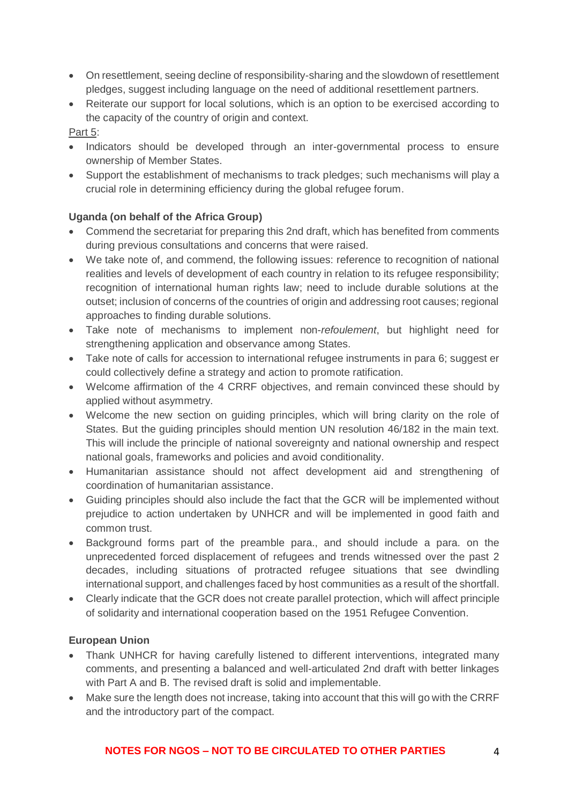- On resettlement, seeing decline of responsibility-sharing and the slowdown of resettlement pledges, suggest including language on the need of additional resettlement partners.
- Reiterate our support for local solutions, which is an option to be exercised according to the capacity of the country of origin and context.

#### Part 5:

- Indicators should be developed through an inter-governmental process to ensure ownership of Member States.
- Support the establishment of mechanisms to track pledges; such mechanisms will play a crucial role in determining efficiency during the global refugee forum.

## **Uganda (on behalf of the Africa Group)**

- Commend the secretariat for preparing this 2nd draft, which has benefited from comments during previous consultations and concerns that were raised.
- We take note of, and commend, the following issues: reference to recognition of national realities and levels of development of each country in relation to its refugee responsibility; recognition of international human rights law; need to include durable solutions at the outset; inclusion of concerns of the countries of origin and addressing root causes; regional approaches to finding durable solutions.
- Take note of mechanisms to implement non-*refoulement*, but highlight need for strengthening application and observance among States.
- Take note of calls for accession to international refugee instruments in para 6; suggest er could collectively define a strategy and action to promote ratification.
- Welcome affirmation of the 4 CRRF objectives, and remain convinced these should by applied without asymmetry.
- Welcome the new section on guiding principles, which will bring clarity on the role of States. But the guiding principles should mention UN resolution 46/182 in the main text. This will include the principle of national sovereignty and national ownership and respect national goals, frameworks and policies and avoid conditionality.
- Humanitarian assistance should not affect development aid and strengthening of coordination of humanitarian assistance.
- Guiding principles should also include the fact that the GCR will be implemented without prejudice to action undertaken by UNHCR and will be implemented in good faith and common trust.
- Background forms part of the preamble para., and should include a para. on the unprecedented forced displacement of refugees and trends witnessed over the past 2 decades, including situations of protracted refugee situations that see dwindling international support, and challenges faced by host communities as a result of the shortfall.
- Clearly indicate that the GCR does not create parallel protection, which will affect principle of solidarity and international cooperation based on the 1951 Refugee Convention.

## **European Union**

- Thank UNHCR for having carefully listened to different interventions, integrated many comments, and presenting a balanced and well-articulated 2nd draft with better linkages with Part A and B. The revised draft is solid and implementable.
- Make sure the length does not increase, taking into account that this will go with the CRRF and the introductory part of the compact.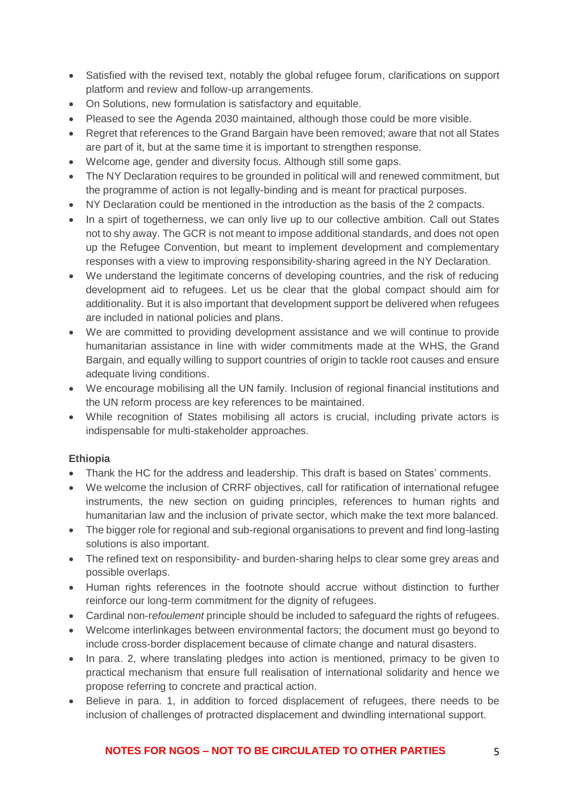- Satisfied with the revised text, notably the global refugee forum, clarifications on support platform and review and follow-up arrangements.
- On Solutions, new formulation is satisfactory and equitable.
- Pleased to see the Agenda 2030 maintained, although those could be more visible.
- Regret that references to the Grand Bargain have been removed; aware that not all States are part of it, but at the same time it is important to strengthen response.
- Welcome age, gender and diversity focus. Although still some gaps.
- The NY Declaration requires to be grounded in political will and renewed commitment, but the programme of action is not legally-binding and is meant for practical purposes.
- NY Declaration could be mentioned in the introduction as the basis of the 2 compacts.
- In a spirt of togetherness, we can only live up to our collective ambition. Call out States not to shy away. The GCR is not meant to impose additional standards, and does not open up the Refugee Convention, but meant to implement development and complementary responses with a view to improving responsibility-sharing agreed in the NY Declaration.
- We understand the legitimate concerns of developing countries, and the risk of reducing development aid to refugees. Let us be clear that the global compact should aim for additionality. But it is also important that development support be delivered when refugees are included in national policies and plans.
- We are committed to providing development assistance and we will continue to provide humanitarian assistance in line with wider commitments made at the WHS, the Grand Bargain, and equally willing to support countries of origin to tackle root causes and ensure adequate living conditions.
- We encourage mobilising all the UN family. Inclusion of regional financial institutions and the UN reform process are key references to be maintained.
- While recognition of States mobilising all actors is crucial, including private actors is indispensable for multi-stakeholder approaches.

# **Ethiopia**

- Thank the HC for the address and leadership. This draft is based on States' comments.
- We welcome the inclusion of CRRF objectives, call for ratification of international refugee instruments, the new section on guiding principles, references to human rights and humanitarian law and the inclusion of private sector, which make the text more balanced.
- The bigger role for regional and sub-regional organisations to prevent and find long-lasting solutions is also important.
- The refined text on responsibility- and burden-sharing helps to clear some grey areas and possible overlaps.
- Human rights references in the footnote should accrue without distinction to further reinforce our long-term commitment for the dignity of refugees.
- Cardinal non-r*efoulement* principle should be included to safeguard the rights of refugees.
- Welcome interlinkages between environmental factors; the document must go beyond to include cross-border displacement because of climate change and natural disasters.
- In para. 2, where translating pledges into action is mentioned, primacy to be given to practical mechanism that ensure full realisation of international solidarity and hence we propose referring to concrete and practical action.
- Believe in para. 1, in addition to forced displacement of refugees, there needs to be inclusion of challenges of protracted displacement and dwindling international support.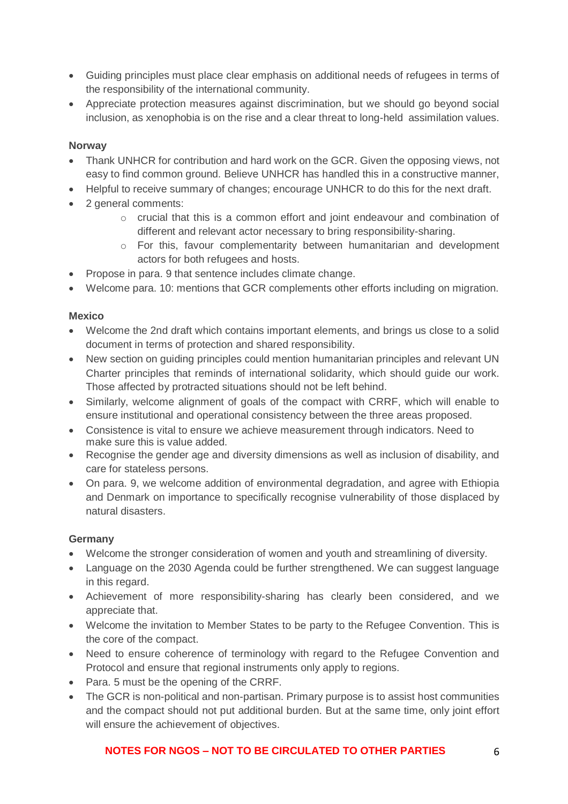- Guiding principles must place clear emphasis on additional needs of refugees in terms of the responsibility of the international community.
- Appreciate protection measures against discrimination, but we should go beyond social inclusion, as xenophobia is on the rise and a clear threat to long-held assimilation values.

## **Norway**

- Thank UNHCR for contribution and hard work on the GCR. Given the opposing views, not easy to find common ground. Believe UNHCR has handled this in a constructive manner,
- Helpful to receive summary of changes; encourage UNHCR to do this for the next draft.
- 2 general comments:
	- o crucial that this is a common effort and joint endeavour and combination of different and relevant actor necessary to bring responsibility-sharing.
	- o For this, favour complementarity between humanitarian and development actors for both refugees and hosts.
- Propose in para. 9 that sentence includes climate change.
- Welcome para. 10: mentions that GCR complements other efforts including on migration.

## **Mexico**

- Welcome the 2nd draft which contains important elements, and brings us close to a solid document in terms of protection and shared responsibility.
- New section on guiding principles could mention humanitarian principles and relevant UN Charter principles that reminds of international solidarity, which should guide our work. Those affected by protracted situations should not be left behind.
- Similarly, welcome alignment of goals of the compact with CRRF, which will enable to ensure institutional and operational consistency between the three areas proposed.
- Consistence is vital to ensure we achieve measurement through indicators. Need to make sure this is value added.
- Recognise the gender age and diversity dimensions as well as inclusion of disability, and care for stateless persons.
- On para. 9, we welcome addition of environmental degradation, and agree with Ethiopia and Denmark on importance to specifically recognise vulnerability of those displaced by natural disasters.

## **Germany**

- Welcome the stronger consideration of women and youth and streamlining of diversity.
- Language on the 2030 Agenda could be further strengthened. We can suggest language in this regard.
- Achievement of more responsibility-sharing has clearly been considered, and we appreciate that.
- Welcome the invitation to Member States to be party to the Refugee Convention. This is the core of the compact.
- Need to ensure coherence of terminology with regard to the Refugee Convention and Protocol and ensure that regional instruments only apply to regions.
- Para. 5 must be the opening of the CRRF.
- The GCR is non-political and non-partisan. Primary purpose is to assist host communities and the compact should not put additional burden. But at the same time, only joint effort will ensure the achievement of objectives.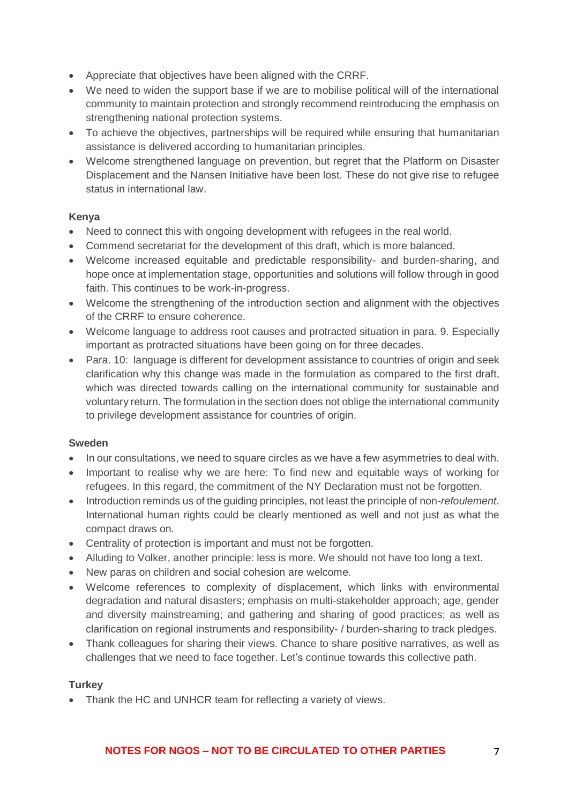- Appreciate that objectives have been aligned with the CRRF.
- We need to widen the support base if we are to mobilise political will of the international community to maintain protection and strongly recommend reintroducing the emphasis on strengthening national protection systems.
- To achieve the objectives, partnerships will be required while ensuring that humanitarian assistance is delivered according to humanitarian principles.
- Welcome strengthened language on prevention, but regret that the Platform on Disaster Displacement and the Nansen Initiative have been lost. These do not give rise to refugee status in international law.

## **Kenya**

- Need to connect this with ongoing development with refugees in the real world.
- Commend secretariat for the development of this draft, which is more balanced.
- Welcome increased equitable and predictable responsibility- and burden-sharing, and hope once at implementation stage, opportunities and solutions will follow through in good faith. This continues to be work-in-progress.
- Welcome the strengthening of the introduction section and alignment with the objectives of the CRRF to ensure coherence.
- Welcome language to address root causes and protracted situation in para. 9. Especially important as protracted situations have been going on for three decades.
- Para. 10: language is different for development assistance to countries of origin and seek clarification why this change was made in the formulation as compared to the first draft, which was directed towards calling on the international community for sustainable and voluntary return. The formulation in the section does not oblige the international community to privilege development assistance for countries of origin.

## **Sweden**

- In our consultations, we need to square circles as we have a few asymmetries to deal with.
- Important to realise why we are here: To find new and equitable ways of working for refugees. In this regard, the commitment of the NY Declaration must not be forgotten.
- Introduction reminds us of the guiding principles, not least the principle of non-*refoulement*. International human rights could be clearly mentioned as well and not just as what the compact draws on.
- Centrality of protection is important and must not be forgotten.
- Alluding to Volker, another principle: less is more. We should not have too long a text.
- New paras on children and social cohesion are welcome.
- Welcome references to complexity of displacement, which links with environmental degradation and natural disasters; emphasis on multi-stakeholder approach; age, gender and diversity mainstreaming; and gathering and sharing of good practices; as well as clarification on regional instruments and responsibility- / burden-sharing to track pledges.
- Thank colleagues for sharing their views. Chance to share positive narratives, as well as challenges that we need to face together. Let's continue towards this collective path.

## **Turkey**

• Thank the HC and UNHCR team for reflecting a variety of views.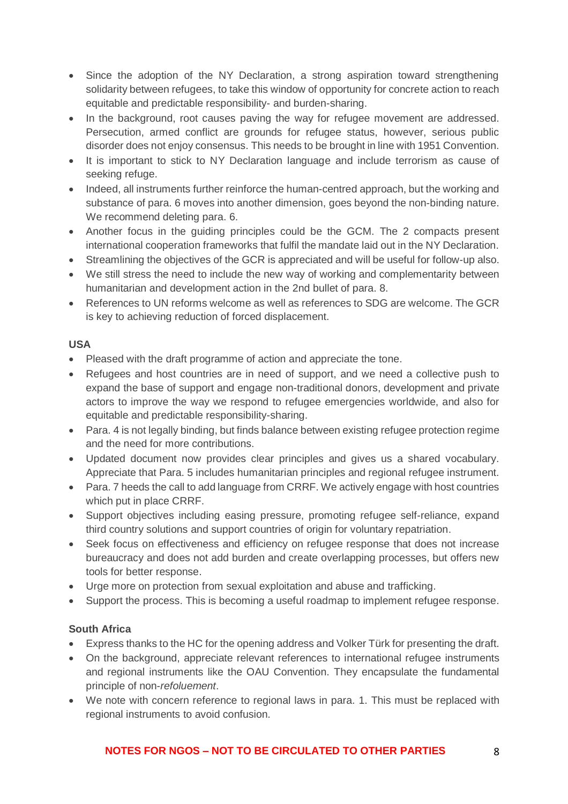- Since the adoption of the NY Declaration, a strong aspiration toward strengthening solidarity between refugees, to take this window of opportunity for concrete action to reach equitable and predictable responsibility- and burden-sharing.
- In the background, root causes paving the way for refugee movement are addressed. Persecution, armed conflict are grounds for refugee status, however, serious public disorder does not enjoy consensus. This needs to be brought in line with 1951 Convention.
- It is important to stick to NY Declaration language and include terrorism as cause of seeking refuge.
- Indeed, all instruments further reinforce the human-centred approach, but the working and substance of para. 6 moves into another dimension, goes beyond the non-binding nature. We recommend deleting para. 6.
- Another focus in the guiding principles could be the GCM. The 2 compacts present international cooperation frameworks that fulfil the mandate laid out in the NY Declaration.
- Streamlining the objectives of the GCR is appreciated and will be useful for follow-up also.
- We still stress the need to include the new way of working and complementarity between humanitarian and development action in the 2nd bullet of para. 8.
- References to UN reforms welcome as well as references to SDG are welcome. The GCR is key to achieving reduction of forced displacement.

## **USA**

- Pleased with the draft programme of action and appreciate the tone.
- Refugees and host countries are in need of support, and we need a collective push to expand the base of support and engage non-traditional donors, development and private actors to improve the way we respond to refugee emergencies worldwide, and also for equitable and predictable responsibility-sharing.
- Para. 4 is not legally binding, but finds balance between existing refugee protection regime and the need for more contributions.
- Updated document now provides clear principles and gives us a shared vocabulary. Appreciate that Para. 5 includes humanitarian principles and regional refugee instrument.
- Para, 7 heeds the call to add language from CRRF. We actively engage with host countries which put in place CRRF.
- Support objectives including easing pressure, promoting refugee self-reliance, expand third country solutions and support countries of origin for voluntary repatriation.
- Seek focus on effectiveness and efficiency on refugee response that does not increase bureaucracy and does not add burden and create overlapping processes, but offers new tools for better response.
- Urge more on protection from sexual exploitation and abuse and trafficking.
- Support the process. This is becoming a useful roadmap to implement refugee response.

## **South Africa**

- Express thanks to the HC for the opening address and Volker Türk for presenting the draft.
- On the background, appreciate relevant references to international refugee instruments and regional instruments like the OAU Convention. They encapsulate the fundamental principle of non-*refoluement*.
- We note with concern reference to regional laws in para. 1. This must be replaced with regional instruments to avoid confusion.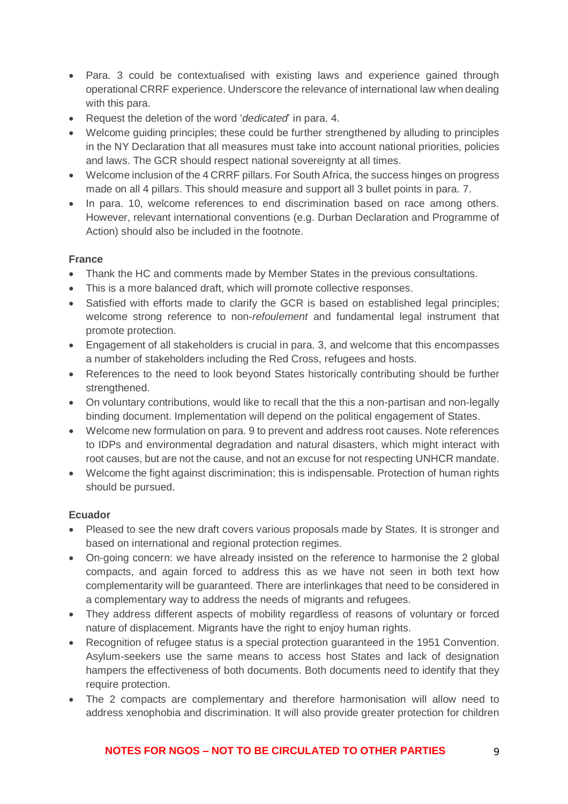- Para. 3 could be contextualised with existing laws and experience gained through operational CRRF experience. Underscore the relevance of international law when dealing with this para.
- Request the deletion of the word '*dedicated*' in para. 4.
- Welcome quiding principles: these could be further strengthened by alluding to principles in the NY Declaration that all measures must take into account national priorities, policies and laws. The GCR should respect national sovereignty at all times.
- Welcome inclusion of the 4 CRRF pillars. For South Africa, the success hinges on progress made on all 4 pillars. This should measure and support all 3 bullet points in para. 7.
- In para. 10, welcome references to end discrimination based on race among others. However, relevant international conventions (e.g. Durban Declaration and Programme of Action) should also be included in the footnote.

## **France**

- Thank the HC and comments made by Member States in the previous consultations.
- This is a more balanced draft, which will promote collective responses.
- Satisfied with efforts made to clarify the GCR is based on established legal principles; welcome strong reference to non-*refoulement* and fundamental legal instrument that promote protection.
- Engagement of all stakeholders is crucial in para. 3, and welcome that this encompasses a number of stakeholders including the Red Cross, refugees and hosts.
- References to the need to look beyond States historically contributing should be further strengthened.
- On voluntary contributions, would like to recall that the this a non-partisan and non-legally binding document. Implementation will depend on the political engagement of States.
- Welcome new formulation on para. 9 to prevent and address root causes. Note references to IDPs and environmental degradation and natural disasters, which might interact with root causes, but are not the cause, and not an excuse for not respecting UNHCR mandate.
- Welcome the fight against discrimination; this is indispensable. Protection of human rights should be pursued.

#### **Ecuador**

- Pleased to see the new draft covers various proposals made by States. It is stronger and based on international and regional protection regimes.
- On-going concern: we have already insisted on the reference to harmonise the 2 global compacts, and again forced to address this as we have not seen in both text how complementarity will be guaranteed. There are interlinkages that need to be considered in a complementary way to address the needs of migrants and refugees.
- They address different aspects of mobility regardless of reasons of voluntary or forced nature of displacement. Migrants have the right to enjoy human rights.
- Recognition of refugee status is a special protection guaranteed in the 1951 Convention. Asylum-seekers use the same means to access host States and lack of designation hampers the effectiveness of both documents. Both documents need to identify that they require protection.
- The 2 compacts are complementary and therefore harmonisation will allow need to address xenophobia and discrimination. It will also provide greater protection for children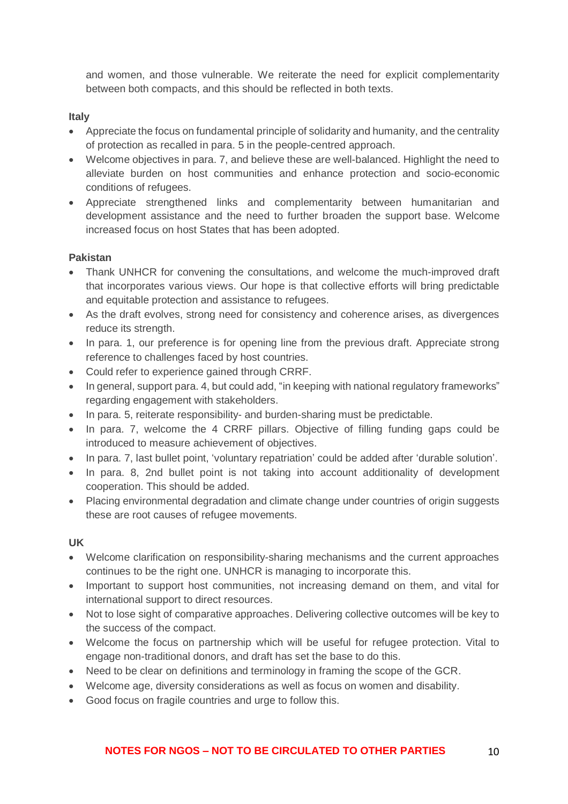and women, and those vulnerable. We reiterate the need for explicit complementarity between both compacts, and this should be reflected in both texts.

#### **Italy**

- Appreciate the focus on fundamental principle of solidarity and humanity, and the centrality of protection as recalled in para. 5 in the people-centred approach.
- Welcome objectives in para. 7, and believe these are well-balanced. Highlight the need to alleviate burden on host communities and enhance protection and socio-economic conditions of refugees.
- Appreciate strengthened links and complementarity between humanitarian and development assistance and the need to further broaden the support base. Welcome increased focus on host States that has been adopted.

## **Pakistan**

- Thank UNHCR for convening the consultations, and welcome the much-improved draft that incorporates various views. Our hope is that collective efforts will bring predictable and equitable protection and assistance to refugees.
- As the draft evolves, strong need for consistency and coherence arises, as divergences reduce its strength.
- In para, 1, our preference is for opening line from the previous draft. Appreciate strong reference to challenges faced by host countries.
- Could refer to experience gained through CRRF.
- In general, support para. 4, but could add, "in keeping with national regulatory frameworks" regarding engagement with stakeholders.
- In para. 5, reiterate responsibility- and burden-sharing must be predictable.
- In para. 7, welcome the 4 CRRF pillars. Objective of filling funding gaps could be introduced to measure achievement of objectives.
- In para. 7, last bullet point, 'voluntary repatriation' could be added after 'durable solution'.
- In para. 8, 2nd bullet point is not taking into account additionality of development cooperation. This should be added.
- Placing environmental degradation and climate change under countries of origin suggests these are root causes of refugee movements.

## **UK**

- Welcome clarification on responsibility-sharing mechanisms and the current approaches continues to be the right one. UNHCR is managing to incorporate this.
- Important to support host communities, not increasing demand on them, and vital for international support to direct resources.
- Not to lose sight of comparative approaches. Delivering collective outcomes will be key to the success of the compact.
- Welcome the focus on partnership which will be useful for refugee protection. Vital to engage non-traditional donors, and draft has set the base to do this.
- Need to be clear on definitions and terminology in framing the scope of the GCR.
- Welcome age, diversity considerations as well as focus on women and disability.
- Good focus on fragile countries and urge to follow this.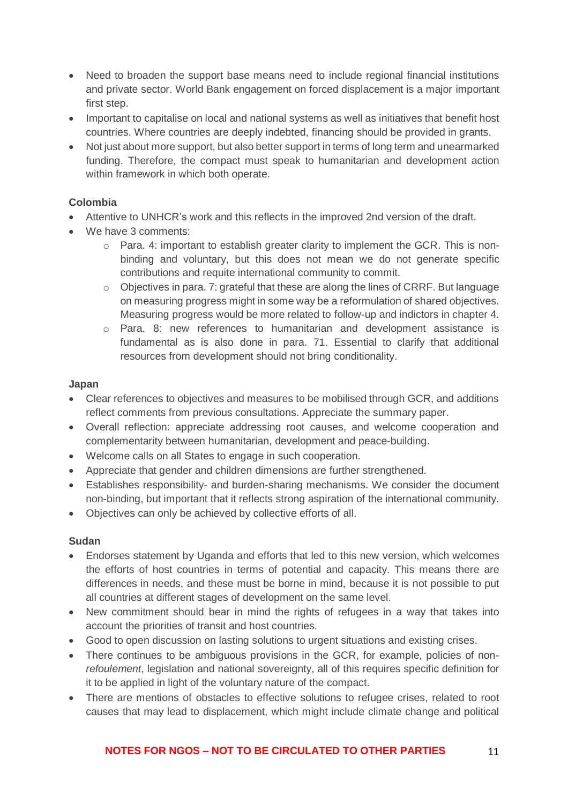- Need to broaden the support base means need to include regional financial institutions and private sector. World Bank engagement on forced displacement is a major important first step.
- Important to capitalise on local and national systems as well as initiatives that benefit host countries. Where countries are deeply indebted, financing should be provided in grants.
- Not just about more support, but also better support in terms of long term and unearmarked funding. Therefore, the compact must speak to humanitarian and development action within framework in which both operate.

## **Colombia**

- Attentive to UNHCR's work and this reflects in the improved 2nd version of the draft.
- We have 3 comments:
	- o Para. 4: important to establish greater clarity to implement the GCR. This is nonbinding and voluntary, but this does not mean we do not generate specific contributions and requite international community to commit.
	- o Objectives in para. 7: grateful that these are along the lines of CRRF. But language on measuring progress might in some way be a reformulation of shared objectives. Measuring progress would be more related to follow-up and indictors in chapter 4.
	- o Para. 8: new references to humanitarian and development assistance is fundamental as is also done in para. 71. Essential to clarify that additional resources from development should not bring conditionality.

#### **Japan**

- Clear references to objectives and measures to be mobilised through GCR, and additions reflect comments from previous consultations. Appreciate the summary paper.
- Overall reflection: appreciate addressing root causes, and welcome cooperation and complementarity between humanitarian, development and peace-building.
- Welcome calls on all States to engage in such cooperation.
- Appreciate that gender and children dimensions are further strengthened.
- Establishes responsibility- and burden-sharing mechanisms. We consider the document non-binding, but important that it reflects strong aspiration of the international community.
- Objectives can only be achieved by collective efforts of all.

#### **Sudan**

- Endorses statement by Uganda and efforts that led to this new version, which welcomes the efforts of host countries in terms of potential and capacity. This means there are differences in needs, and these must be borne in mind, because it is not possible to put all countries at different stages of development on the same level.
- New commitment should bear in mind the rights of refugees in a way that takes into account the priorities of transit and host countries.
- Good to open discussion on lasting solutions to urgent situations and existing crises.
- There continues to be ambiguous provisions in the GCR, for example, policies of non*refoulement*, legislation and national sovereignty, all of this requires specific definition for it to be applied in light of the voluntary nature of the compact.
- There are mentions of obstacles to effective solutions to refugee crises, related to root causes that may lead to displacement, which might include climate change and political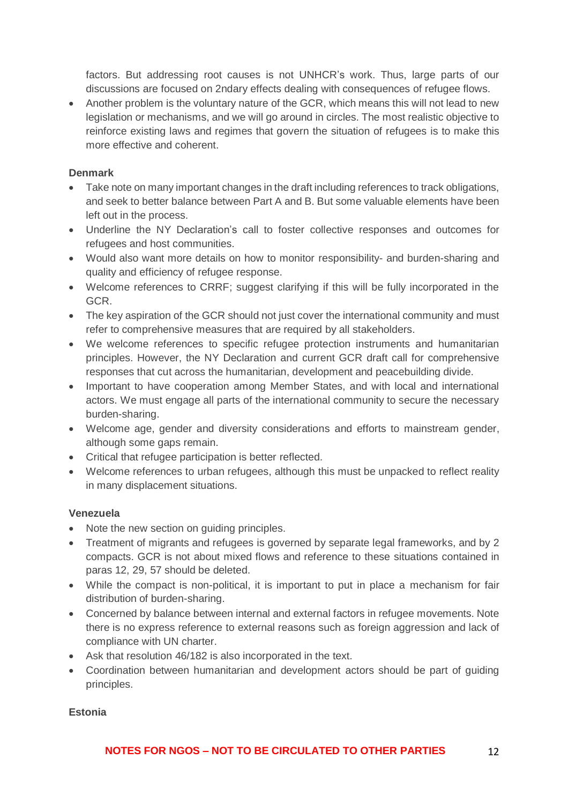factors. But addressing root causes is not UNHCR's work. Thus, large parts of our discussions are focused on 2ndary effects dealing with consequences of refugee flows.

• Another problem is the voluntary nature of the GCR, which means this will not lead to new legislation or mechanisms, and we will go around in circles. The most realistic objective to reinforce existing laws and regimes that govern the situation of refugees is to make this more effective and coherent.

#### **Denmark**

- Take note on many important changes in the draft including references to track obligations, and seek to better balance between Part A and B. But some valuable elements have been left out in the process.
- Underline the NY Declaration's call to foster collective responses and outcomes for refugees and host communities.
- Would also want more details on how to monitor responsibility- and burden-sharing and quality and efficiency of refugee response.
- Welcome references to CRRF; suggest clarifying if this will be fully incorporated in the GCR.
- The key aspiration of the GCR should not just cover the international community and must refer to comprehensive measures that are required by all stakeholders.
- We welcome references to specific refugee protection instruments and humanitarian principles. However, the NY Declaration and current GCR draft call for comprehensive responses that cut across the humanitarian, development and peacebuilding divide.
- Important to have cooperation among Member States, and with local and international actors. We must engage all parts of the international community to secure the necessary burden-sharing.
- Welcome age, gender and diversity considerations and efforts to mainstream gender, although some gaps remain.
- Critical that refugee participation is better reflected.
- Welcome references to urban refugees, although this must be unpacked to reflect reality in many displacement situations.

## **Venezuela**

- Note the new section on quiding principles.
- Treatment of migrants and refugees is governed by separate legal frameworks, and by 2 compacts. GCR is not about mixed flows and reference to these situations contained in paras 12, 29, 57 should be deleted.
- While the compact is non-political, it is important to put in place a mechanism for fair distribution of burden-sharing.
- Concerned by balance between internal and external factors in refugee movements. Note there is no express reference to external reasons such as foreign aggression and lack of compliance with UN charter.
- Ask that resolution 46/182 is also incorporated in the text.
- Coordination between humanitarian and development actors should be part of guiding principles.

## **Estonia**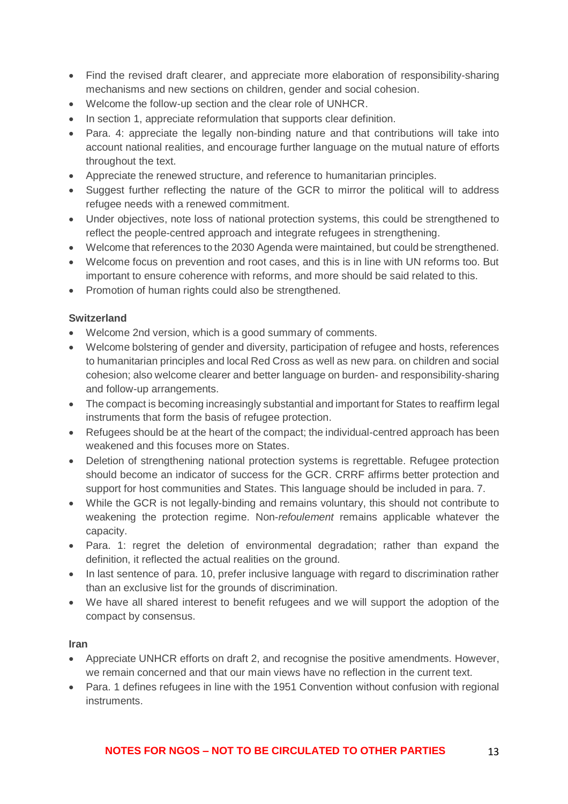- Find the revised draft clearer, and appreciate more elaboration of responsibility-sharing mechanisms and new sections on children, gender and social cohesion.
- Welcome the follow-up section and the clear role of UNHCR.
- In section 1, appreciate reformulation that supports clear definition.
- Para, 4: appreciate the legally non-binding nature and that contributions will take into account national realities, and encourage further language on the mutual nature of efforts throughout the text.
- Appreciate the renewed structure, and reference to humanitarian principles.
- Suggest further reflecting the nature of the GCR to mirror the political will to address refugee needs with a renewed commitment.
- Under objectives, note loss of national protection systems, this could be strengthened to reflect the people-centred approach and integrate refugees in strengthening.
- Welcome that references to the 2030 Agenda were maintained, but could be strengthened.
- Welcome focus on prevention and root cases, and this is in line with UN reforms too. But important to ensure coherence with reforms, and more should be said related to this.
- Promotion of human rights could also be strengthened.

## **Switzerland**

- Welcome 2nd version, which is a good summary of comments.
- Welcome bolstering of gender and diversity, participation of refugee and hosts, references to humanitarian principles and local Red Cross as well as new para. on children and social cohesion; also welcome clearer and better language on burden- and responsibility-sharing and follow-up arrangements.
- The compact is becoming increasingly substantial and important for States to reaffirm legal instruments that form the basis of refugee protection.
- Refugees should be at the heart of the compact; the individual-centred approach has been weakened and this focuses more on States.
- Deletion of strengthening national protection systems is regrettable. Refugee protection should become an indicator of success for the GCR. CRRF affirms better protection and support for host communities and States. This language should be included in para. 7.
- While the GCR is not legally-binding and remains voluntary, this should not contribute to weakening the protection regime. Non-*refoulement* remains applicable whatever the capacity.
- Para. 1: regret the deletion of environmental degradation; rather than expand the definition, it reflected the actual realities on the ground.
- In last sentence of para. 10, prefer inclusive language with regard to discrimination rather than an exclusive list for the grounds of discrimination.
- We have all shared interest to benefit refugees and we will support the adoption of the compact by consensus.

## **Iran**

- Appreciate UNHCR efforts on draft 2, and recognise the positive amendments. However, we remain concerned and that our main views have no reflection in the current text.
- Para. 1 defines refugees in line with the 1951 Convention without confusion with regional instruments.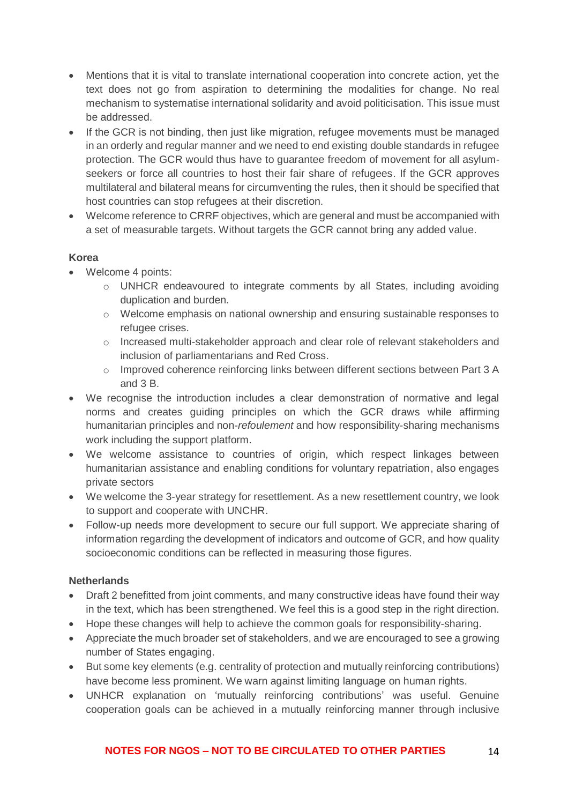- Mentions that it is vital to translate international cooperation into concrete action, yet the text does not go from aspiration to determining the modalities for change. No real mechanism to systematise international solidarity and avoid politicisation. This issue must be addressed.
- If the GCR is not binding, then just like migration, refugee movements must be managed in an orderly and regular manner and we need to end existing double standards in refugee protection. The GCR would thus have to guarantee freedom of movement for all asylumseekers or force all countries to host their fair share of refugees. If the GCR approves multilateral and bilateral means for circumventing the rules, then it should be specified that host countries can stop refugees at their discretion.
- Welcome reference to CRRF objectives, which are general and must be accompanied with a set of measurable targets. Without targets the GCR cannot bring any added value.

## **Korea**

- Welcome 4 points:
	- o UNHCR endeavoured to integrate comments by all States, including avoiding duplication and burden.
	- o Welcome emphasis on national ownership and ensuring sustainable responses to refugee crises.
	- o Increased multi-stakeholder approach and clear role of relevant stakeholders and inclusion of parliamentarians and Red Cross.
	- o Improved coherence reinforcing links between different sections between Part 3 A and 3 B.
- We recognise the introduction includes a clear demonstration of normative and legal norms and creates guiding principles on which the GCR draws while affirming humanitarian principles and non-*refoulement* and how responsibility-sharing mechanisms work including the support platform.
- We welcome assistance to countries of origin, which respect linkages between humanitarian assistance and enabling conditions for voluntary repatriation, also engages private sectors
- We welcome the 3-year strategy for resettlement. As a new resettlement country, we look to support and cooperate with UNCHR.
- Follow-up needs more development to secure our full support. We appreciate sharing of information regarding the development of indicators and outcome of GCR, and how quality socioeconomic conditions can be reflected in measuring those figures.

# **Netherlands**

- Draft 2 benefitted from joint comments, and many constructive ideas have found their way in the text, which has been strengthened. We feel this is a good step in the right direction.
- Hope these changes will help to achieve the common goals for responsibility-sharing.
- Appreciate the much broader set of stakeholders, and we are encouraged to see a growing number of States engaging.
- But some key elements (e.g. centrality of protection and mutually reinforcing contributions) have become less prominent. We warn against limiting language on human rights.
- UNHCR explanation on 'mutually reinforcing contributions' was useful. Genuine cooperation goals can be achieved in a mutually reinforcing manner through inclusive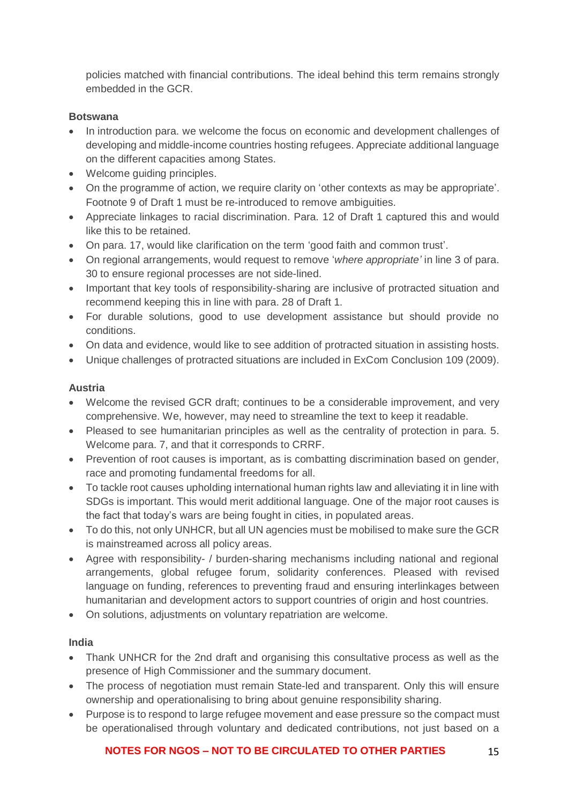policies matched with financial contributions. The ideal behind this term remains strongly embedded in the GCR.

## **Botswana**

- In introduction para. we welcome the focus on economic and development challenges of developing and middle-income countries hosting refugees. Appreciate additional language on the different capacities among States.
- Welcome quiding principles.
- On the programme of action, we require clarity on 'other contexts as may be appropriate'. Footnote 9 of Draft 1 must be re-introduced to remove ambiguities.
- Appreciate linkages to racial discrimination. Para. 12 of Draft 1 captured this and would like this to be retained.
- On para. 17, would like clarification on the term 'good faith and common trust'.
- On regional arrangements, would request to remove '*where appropriate'* in line 3 of para. 30 to ensure regional processes are not side-lined.
- Important that key tools of responsibility-sharing are inclusive of protracted situation and recommend keeping this in line with para. 28 of Draft 1.
- For durable solutions, good to use development assistance but should provide no conditions.
- On data and evidence, would like to see addition of protracted situation in assisting hosts.
- Unique challenges of protracted situations are included in ExCom Conclusion 109 (2009).

## **Austria**

- Welcome the revised GCR draft; continues to be a considerable improvement, and very comprehensive. We, however, may need to streamline the text to keep it readable.
- Pleased to see humanitarian principles as well as the centrality of protection in para. 5. Welcome para. 7, and that it corresponds to CRRF.
- Prevention of root causes is important, as is combatting discrimination based on gender, race and promoting fundamental freedoms for all.
- To tackle root causes upholding international human rights law and alleviating it in line with SDGs is important. This would merit additional language. One of the major root causes is the fact that today's wars are being fought in cities, in populated areas.
- To do this, not only UNHCR, but all UN agencies must be mobilised to make sure the GCR is mainstreamed across all policy areas.
- Agree with responsibility- / burden-sharing mechanisms including national and regional arrangements, global refugee forum, solidarity conferences. Pleased with revised language on funding, references to preventing fraud and ensuring interlinkages between humanitarian and development actors to support countries of origin and host countries.
- On solutions, adjustments on voluntary repatriation are welcome.

## **India**

- Thank UNHCR for the 2nd draft and organising this consultative process as well as the presence of High Commissioner and the summary document.
- The process of negotiation must remain State-led and transparent. Only this will ensure ownership and operationalising to bring about genuine responsibility sharing.
- Purpose is to respond to large refugee movement and ease pressure so the compact must be operationalised through voluntary and dedicated contributions, not just based on a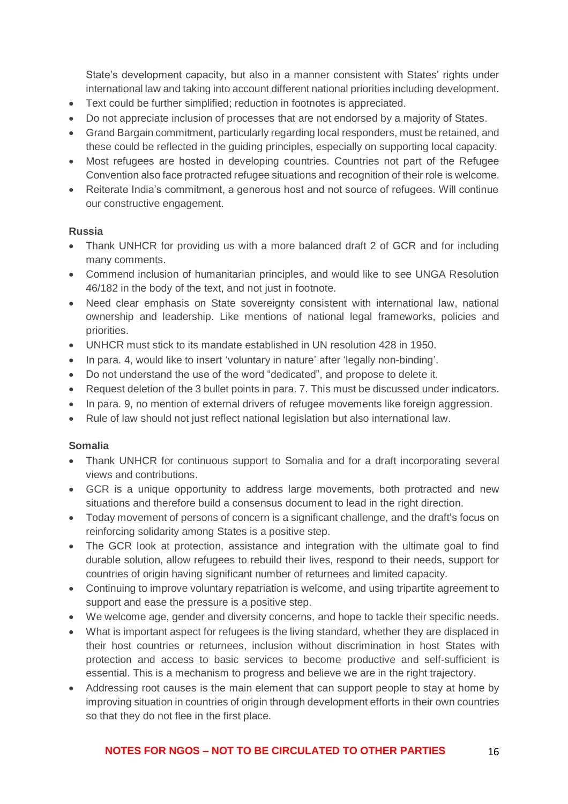State's development capacity, but also in a manner consistent with States' rights under international law and taking into account different national priorities including development.

- Text could be further simplified; reduction in footnotes is appreciated.
- Do not appreciate inclusion of processes that are not endorsed by a majority of States.
- Grand Bargain commitment, particularly regarding local responders, must be retained, and these could be reflected in the guiding principles, especially on supporting local capacity.
- Most refugees are hosted in developing countries. Countries not part of the Refugee Convention also face protracted refugee situations and recognition of their role is welcome.
- Reiterate India's commitment, a generous host and not source of refugees. Will continue our constructive engagement.

#### **Russia**

- Thank UNHCR for providing us with a more balanced draft 2 of GCR and for including many comments.
- Commend inclusion of humanitarian principles, and would like to see UNGA Resolution 46/182 in the body of the text, and not just in footnote.
- Need clear emphasis on State sovereignty consistent with international law, national ownership and leadership. Like mentions of national legal frameworks, policies and priorities.
- UNHCR must stick to its mandate established in UN resolution 428 in 1950.
- In para. 4, would like to insert 'voluntary in nature' after 'legally non-binding'.
- Do not understand the use of the word "dedicated", and propose to delete it.
- Request deletion of the 3 bullet points in para. 7. This must be discussed under indicators.
- In para. 9, no mention of external drivers of refugee movements like foreign aggression.
- Rule of law should not just reflect national legislation but also international law.

#### **Somalia**

- Thank UNHCR for continuous support to Somalia and for a draft incorporating several views and contributions.
- GCR is a unique opportunity to address large movements, both protracted and new situations and therefore build a consensus document to lead in the right direction.
- Today movement of persons of concern is a significant challenge, and the draft's focus on reinforcing solidarity among States is a positive step.
- The GCR look at protection, assistance and integration with the ultimate goal to find durable solution, allow refugees to rebuild their lives, respond to their needs, support for countries of origin having significant number of returnees and limited capacity.
- Continuing to improve voluntary repatriation is welcome, and using tripartite agreement to support and ease the pressure is a positive step.
- We welcome age, gender and diversity concerns, and hope to tackle their specific needs.
- What is important aspect for refugees is the living standard, whether they are displaced in their host countries or returnees, inclusion without discrimination in host States with protection and access to basic services to become productive and self-sufficient is essential. This is a mechanism to progress and believe we are in the right trajectory.
- Addressing root causes is the main element that can support people to stay at home by improving situation in countries of origin through development efforts in their own countries so that they do not flee in the first place.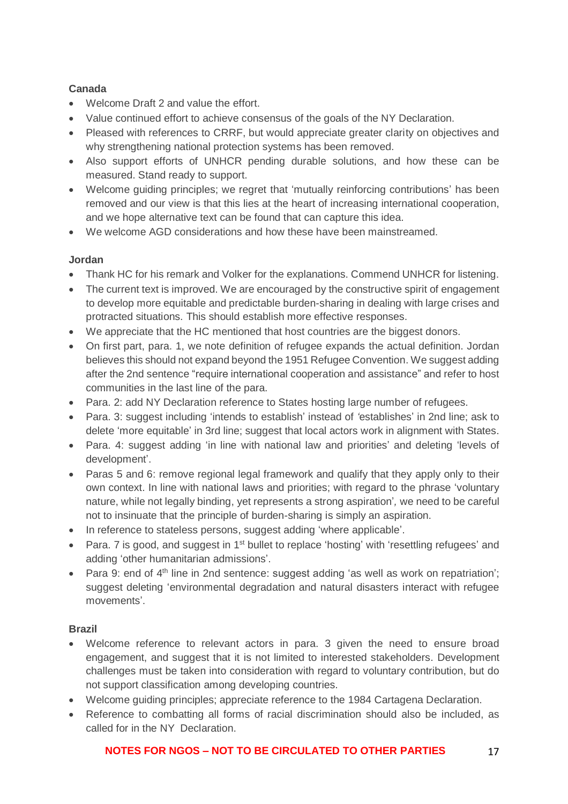## **Canada**

- Welcome Draft 2 and value the effort.
- Value continued effort to achieve consensus of the goals of the NY Declaration.
- Pleased with references to CRRF, but would appreciate greater clarity on objectives and why strengthening national protection systems has been removed.
- Also support efforts of UNHCR pending durable solutions, and how these can be measured. Stand ready to support.
- Welcome guiding principles; we regret that 'mutually reinforcing contributions' has been removed and our view is that this lies at the heart of increasing international cooperation, and we hope alternative text can be found that can capture this idea.
- We welcome AGD considerations and how these have been mainstreamed.

## **Jordan**

- Thank HC for his remark and Volker for the explanations. Commend UNHCR for listening.
- The current text is improved. We are encouraged by the constructive spirit of engagement to develop more equitable and predictable burden-sharing in dealing with large crises and protracted situations. This should establish more effective responses.
- We appreciate that the HC mentioned that host countries are the biggest donors.
- On first part, para. 1, we note definition of refugee expands the actual definition. Jordan believes this should not expand beyond the 1951 Refugee Convention. We suggest adding after the 2nd sentence "require international cooperation and assistance" and refer to host communities in the last line of the para.
- Para. 2: add NY Declaration reference to States hosting large number of refugees.
- Para. 3: suggest including 'intends to establish' instead of *'*establishes' in 2nd line; ask to delete 'more equitable' in 3rd line; suggest that local actors work in alignment with States.
- Para. 4: suggest adding 'in line with national law and priorities' and deleting 'levels of development'.
- Paras 5 and 6: remove regional legal framework and qualify that they apply only to their own context. In line with national laws and priorities; with regard to the phrase 'voluntary nature, while not legally binding, yet represents a strong aspiration'*,* we need to be careful not to insinuate that the principle of burden-sharing is simply an aspiration.
- In reference to stateless persons, suggest adding 'where applicable'.
- Para. 7 is good, and suggest in 1<sup>st</sup> bullet to replace 'hosting' with 'resettling refugees' and adding 'other humanitarian admissions'.
- Para 9: end of 4<sup>th</sup> line in 2nd sentence: suggest adding 'as well as work on repatriation'; suggest deleting 'environmental degradation and natural disasters interact with refugee movements'.

# **Brazil**

- Welcome reference to relevant actors in para. 3 given the need to ensure broad engagement, and suggest that it is not limited to interested stakeholders. Development challenges must be taken into consideration with regard to voluntary contribution, but do not support classification among developing countries.
- Welcome guiding principles; appreciate reference to the 1984 Cartagena Declaration.
- Reference to combatting all forms of racial discrimination should also be included, as called for in the NY Declaration.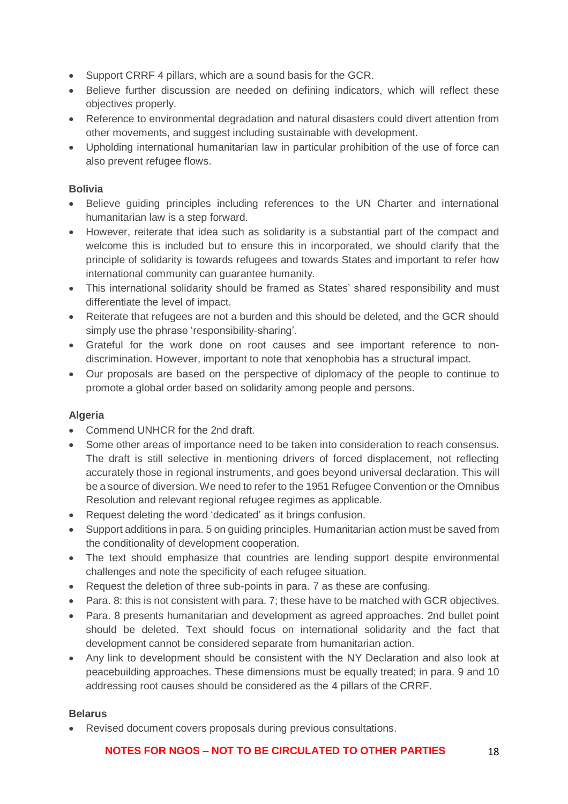- Support CRRF 4 pillars, which are a sound basis for the GCR.
- Believe further discussion are needed on defining indicators, which will reflect these objectives properly.
- Reference to environmental degradation and natural disasters could divert attention from other movements, and suggest including sustainable with development.
- Upholding international humanitarian law in particular prohibition of the use of force can also prevent refugee flows.

#### **Bolivia**

- Believe guiding principles including references to the UN Charter and international humanitarian law is a step forward.
- However, reiterate that idea such as solidarity is a substantial part of the compact and welcome this is included but to ensure this in incorporated, we should clarify that the principle of solidarity is towards refugees and towards States and important to refer how international community can guarantee humanity.
- This international solidarity should be framed as States' shared responsibility and must differentiate the level of impact.
- Reiterate that refugees are not a burden and this should be deleted, and the GCR should simply use the phrase 'responsibility-sharing'.
- Grateful for the work done on root causes and see important reference to nondiscrimination. However, important to note that xenophobia has a structural impact.
- Our proposals are based on the perspective of diplomacy of the people to continue to promote a global order based on solidarity among people and persons.

## **Algeria**

- Commend UNHCR for the 2nd draft.
- Some other areas of importance need to be taken into consideration to reach consensus. The draft is still selective in mentioning drivers of forced displacement, not reflecting accurately those in regional instruments, and goes beyond universal declaration. This will be a source of diversion. We need to refer to the 1951 Refugee Convention or the Omnibus Resolution and relevant regional refugee regimes as applicable.
- Request deleting the word 'dedicated' as it brings confusion.
- Support additions in para. 5 on guiding principles. Humanitarian action must be saved from the conditionality of development cooperation.
- The text should emphasize that countries are lending support despite environmental challenges and note the specificity of each refugee situation.
- Request the deletion of three sub-points in para. 7 as these are confusing.
- Para, 8; this is not consistent with para, 7; these have to be matched with GCR objectives.
- Para. 8 presents humanitarian and development as agreed approaches. 2nd bullet point should be deleted. Text should focus on international solidarity and the fact that development cannot be considered separate from humanitarian action.
- Any link to development should be consistent with the NY Declaration and also look at peacebuilding approaches. These dimensions must be equally treated; in para. 9 and 10 addressing root causes should be considered as the 4 pillars of the CRRF.

## **Belarus**

• Revised document covers proposals during previous consultations.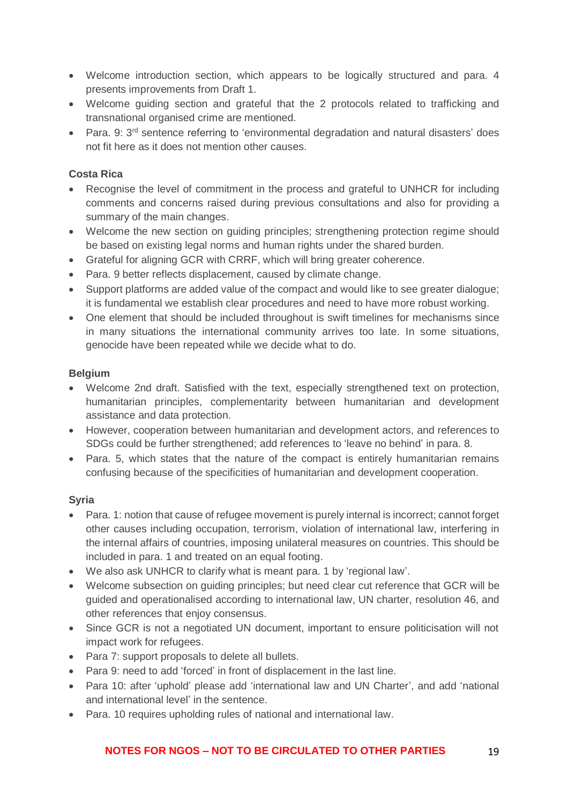- Welcome introduction section, which appears to be logically structured and para. 4 presents improvements from Draft 1.
- Welcome guiding section and grateful that the 2 protocols related to trafficking and transnational organised crime are mentioned.
- Para. 9:  $3<sup>rd</sup>$  sentence referring to 'environmental degradation and natural disasters' does not fit here as it does not mention other causes.

## **Costa Rica**

- Recognise the level of commitment in the process and grateful to UNHCR for including comments and concerns raised during previous consultations and also for providing a summary of the main changes.
- Welcome the new section on guiding principles; strengthening protection regime should be based on existing legal norms and human rights under the shared burden.
- Grateful for aligning GCR with CRRF, which will bring greater coherence.
- Para. 9 better reflects displacement, caused by climate change.
- Support platforms are added value of the compact and would like to see greater dialogue; it is fundamental we establish clear procedures and need to have more robust working.
- One element that should be included throughout is swift timelines for mechanisms since in many situations the international community arrives too late. In some situations, genocide have been repeated while we decide what to do.

## **Belgium**

- Welcome 2nd draft. Satisfied with the text, especially strengthened text on protection, humanitarian principles, complementarity between humanitarian and development assistance and data protection.
- However, cooperation between humanitarian and development actors, and references to SDGs could be further strengthened; add references to 'leave no behind' in para. 8.
- Para. 5, which states that the nature of the compact is entirely humanitarian remains confusing because of the specificities of humanitarian and development cooperation.

## **Syria**

- Para. 1: notion that cause of refugee movement is purely internal is incorrect; cannot forget other causes including occupation, terrorism, violation of international law, interfering in the internal affairs of countries, imposing unilateral measures on countries. This should be included in para. 1 and treated on an equal footing.
- We also ask UNHCR to clarify what is meant para. 1 by 'regional law'.
- Welcome subsection on guiding principles; but need clear cut reference that GCR will be guided and operationalised according to international law, UN charter, resolution 46, and other references that enjoy consensus.
- Since GCR is not a negotiated UN document, important to ensure politicisation will not impact work for refugees.
- Para 7: support proposals to delete all bullets.
- Para 9: need to add 'forced' in front of displacement in the last line.
- Para 10: after 'uphold' please add 'international law and UN Charter', and add 'national and international level' in the sentence.
- Para. 10 requires upholding rules of national and international law.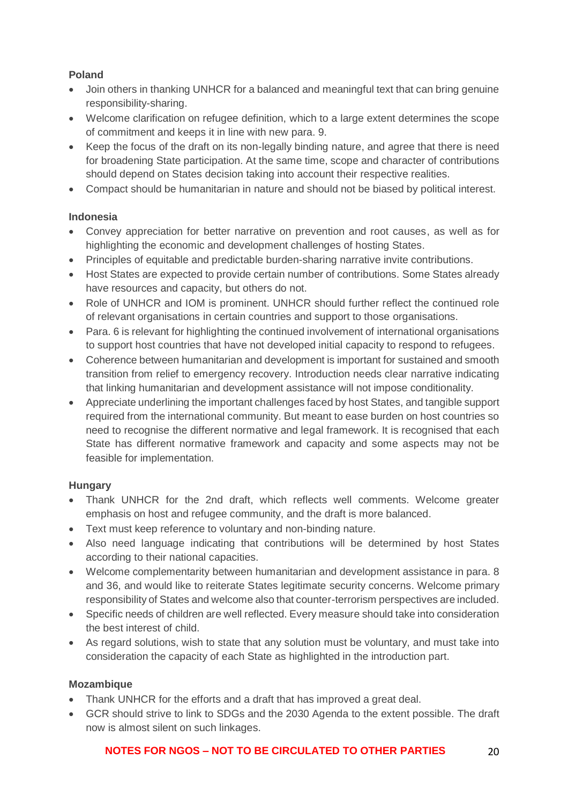# **Poland**

- Join others in thanking UNHCR for a balanced and meaningful text that can bring genuine responsibility-sharing.
- Welcome clarification on refugee definition, which to a large extent determines the scope of commitment and keeps it in line with new para. 9.
- Keep the focus of the draft on its non-legally binding nature, and agree that there is need for broadening State participation. At the same time, scope and character of contributions should depend on States decision taking into account their respective realities.
- Compact should be humanitarian in nature and should not be biased by political interest.

# **Indonesia**

- Convey appreciation for better narrative on prevention and root causes, as well as for highlighting the economic and development challenges of hosting States.
- Principles of equitable and predictable burden-sharing narrative invite contributions.
- Host States are expected to provide certain number of contributions. Some States already have resources and capacity, but others do not.
- Role of UNHCR and IOM is prominent. UNHCR should further reflect the continued role of relevant organisations in certain countries and support to those organisations.
- Para. 6 is relevant for highlighting the continued involvement of international organisations to support host countries that have not developed initial capacity to respond to refugees.
- Coherence between humanitarian and development is important for sustained and smooth transition from relief to emergency recovery. Introduction needs clear narrative indicating that linking humanitarian and development assistance will not impose conditionality.
- Appreciate underlining the important challenges faced by host States, and tangible support required from the international community. But meant to ease burden on host countries so need to recognise the different normative and legal framework. It is recognised that each State has different normative framework and capacity and some aspects may not be feasible for implementation.

# **Hungary**

- Thank UNHCR for the 2nd draft, which reflects well comments. Welcome greater emphasis on host and refugee community, and the draft is more balanced.
- Text must keep reference to voluntary and non-binding nature.
- Also need language indicating that contributions will be determined by host States according to their national capacities.
- Welcome complementarity between humanitarian and development assistance in para. 8 and 36, and would like to reiterate States legitimate security concerns. Welcome primary responsibility of States and welcome also that counter-terrorism perspectives are included.
- Specific needs of children are well reflected. Every measure should take into consideration the best interest of child.
- As regard solutions, wish to state that any solution must be voluntary, and must take into consideration the capacity of each State as highlighted in the introduction part.

# **Mozambique**

- Thank UNHCR for the efforts and a draft that has improved a great deal.
- GCR should strive to link to SDGs and the 2030 Agenda to the extent possible. The draft now is almost silent on such linkages.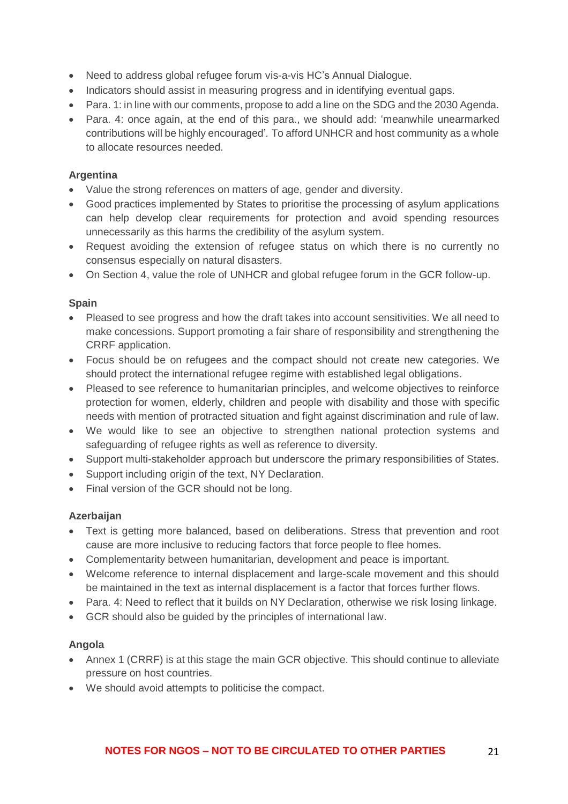- Need to address global refugee forum vis-a-vis HC's Annual Dialogue.
- Indicators should assist in measuring progress and in identifying eventual gaps.
- Para, 1: in line with our comments, propose to add a line on the SDG and the 2030 Agenda.
- Para. 4: once again, at the end of this para., we should add: 'meanwhile unearmarked contributions will be highly encouraged'*.* To afford UNHCR and host community as a whole to allocate resources needed.

## **Argentina**

- Value the strong references on matters of age, gender and diversity.
- Good practices implemented by States to prioritise the processing of asylum applications can help develop clear requirements for protection and avoid spending resources unnecessarily as this harms the credibility of the asylum system.
- Request avoiding the extension of refugee status on which there is no currently no consensus especially on natural disasters.
- On Section 4, value the role of UNHCR and global refugee forum in the GCR follow-up.

#### **Spain**

- Pleased to see progress and how the draft takes into account sensitivities. We all need to make concessions. Support promoting a fair share of responsibility and strengthening the CRRF application.
- Focus should be on refugees and the compact should not create new categories. We should protect the international refugee regime with established legal obligations.
- Pleased to see reference to humanitarian principles, and welcome objectives to reinforce protection for women, elderly, children and people with disability and those with specific needs with mention of protracted situation and fight against discrimination and rule of law.
- We would like to see an objective to strengthen national protection systems and safeguarding of refugee rights as well as reference to diversity.
- Support multi-stakeholder approach but underscore the primary responsibilities of States.
- Support including origin of the text, NY Declaration.
- Final version of the GCR should not be long.

#### **Azerbaijan**

- Text is getting more balanced, based on deliberations. Stress that prevention and root cause are more inclusive to reducing factors that force people to flee homes.
- Complementarity between humanitarian, development and peace is important.
- Welcome reference to internal displacement and large-scale movement and this should be maintained in the text as internal displacement is a factor that forces further flows.
- Para. 4: Need to reflect that it builds on NY Declaration, otherwise we risk losing linkage.
- GCR should also be guided by the principles of international law.

## **Angola**

- Annex 1 (CRRF) is at this stage the main GCR objective. This should continue to alleviate pressure on host countries.
- We should avoid attempts to politicise the compact.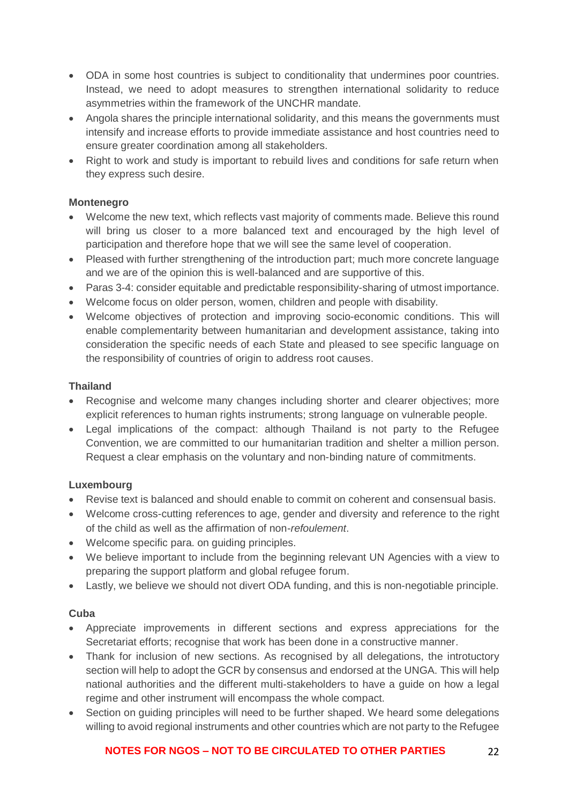- ODA in some host countries is subject to conditionality that undermines poor countries. Instead, we need to adopt measures to strengthen international solidarity to reduce asymmetries within the framework of the UNCHR mandate.
- Angola shares the principle international solidarity, and this means the governments must intensify and increase efforts to provide immediate assistance and host countries need to ensure greater coordination among all stakeholders.
- Right to work and study is important to rebuild lives and conditions for safe return when they express such desire.

#### **Montenegro**

- Welcome the new text, which reflects vast majority of comments made. Believe this round will bring us closer to a more balanced text and encouraged by the high level of participation and therefore hope that we will see the same level of cooperation.
- Pleased with further strengthening of the introduction part; much more concrete language and we are of the opinion this is well-balanced and are supportive of this.
- Paras 3-4: consider equitable and predictable responsibility-sharing of utmost importance.
- Welcome focus on older person, women, children and people with disability.
- Welcome objectives of protection and improving socio-economic conditions. This will enable complementarity between humanitarian and development assistance, taking into consideration the specific needs of each State and pleased to see specific language on the responsibility of countries of origin to address root causes.

#### **Thailand**

- Recognise and welcome many changes including shorter and clearer objectives; more explicit references to human rights instruments; strong language on vulnerable people.
- Legal implications of the compact: although Thailand is not party to the Refugee Convention, we are committed to our humanitarian tradition and shelter a million person. Request a clear emphasis on the voluntary and non-binding nature of commitments.

## **Luxembourg**

- Revise text is balanced and should enable to commit on coherent and consensual basis.
- Welcome cross-cutting references to age, gender and diversity and reference to the right of the child as well as the affirmation of non-*refoulement*.
- Welcome specific para. on guiding principles.
- We believe important to include from the beginning relevant UN Agencies with a view to preparing the support platform and global refugee forum.
- Lastly, we believe we should not divert ODA funding, and this is non-negotiable principle.

## **Cuba**

- Appreciate improvements in different sections and express appreciations for the Secretariat efforts; recognise that work has been done in a constructive manner.
- Thank for inclusion of new sections. As recognised by all delegations, the introtuctory section will help to adopt the GCR by consensus and endorsed at the UNGA. This will help national authorities and the different multi-stakeholders to have a guide on how a legal regime and other instrument will encompass the whole compact.
- Section on guiding principles will need to be further shaped. We heard some delegations willing to avoid regional instruments and other countries which are not party to the Refugee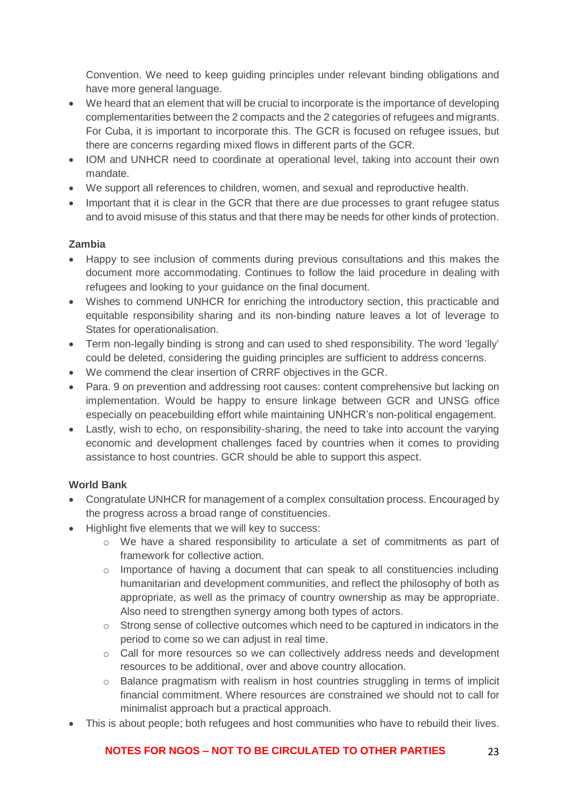Convention. We need to keep guiding principles under relevant binding obligations and have more general language.

- We heard that an element that will be crucial to incorporate is the importance of developing complementarities between the 2 compacts and the 2 categories of refugees and migrants. For Cuba, it is important to incorporate this. The GCR is focused on refugee issues, but there are concerns regarding mixed flows in different parts of the GCR.
- IOM and UNHCR need to coordinate at operational level, taking into account their own mandate.
- We support all references to children, women, and sexual and reproductive health.
- Important that it is clear in the GCR that there are due processes to grant refugee status and to avoid misuse of this status and that there may be needs for other kinds of protection.

## **Zambia**

- Happy to see inclusion of comments during previous consultations and this makes the document more accommodating. Continues to follow the laid procedure in dealing with refugees and looking to your guidance on the final document.
- Wishes to commend UNHCR for enriching the introductory section, this practicable and equitable responsibility sharing and its non-binding nature leaves a lot of leverage to States for operationalisation.
- Term non-legally binding is strong and can used to shed responsibility. The word 'legally' could be deleted, considering the guiding principles are sufficient to address concerns.
- We commend the clear insertion of CRRF objectives in the GCR.
- Para. 9 on prevention and addressing root causes: content comprehensive but lacking on implementation. Would be happy to ensure linkage between GCR and UNSG office especially on peacebuilding effort while maintaining UNHCR's non-political engagement.
- Lastly, wish to echo, on responsibility-sharing, the need to take into account the varying economic and development challenges faced by countries when it comes to providing assistance to host countries. GCR should be able to support this aspect.

## **World Bank**

- Congratulate UNHCR for management of a complex consultation process. Encouraged by the progress across a broad range of constituencies.
- Highlight five elements that we will key to success:
	- o We have a shared responsibility to articulate a set of commitments as part of framework for collective action.
	- o Importance of having a document that can speak to all constituencies including humanitarian and development communities, and reflect the philosophy of both as appropriate, as well as the primacy of country ownership as may be appropriate. Also need to strengthen synergy among both types of actors.
	- o Strong sense of collective outcomes which need to be captured in indicators in the period to come so we can adjust in real time.
	- o Call for more resources so we can collectively address needs and development resources to be additional, over and above country allocation.
	- o Balance pragmatism with realism in host countries struggling in terms of implicit financial commitment. Where resources are constrained we should not to call for minimalist approach but a practical approach.
- This is about people; both refugees and host communities who have to rebuild their lives.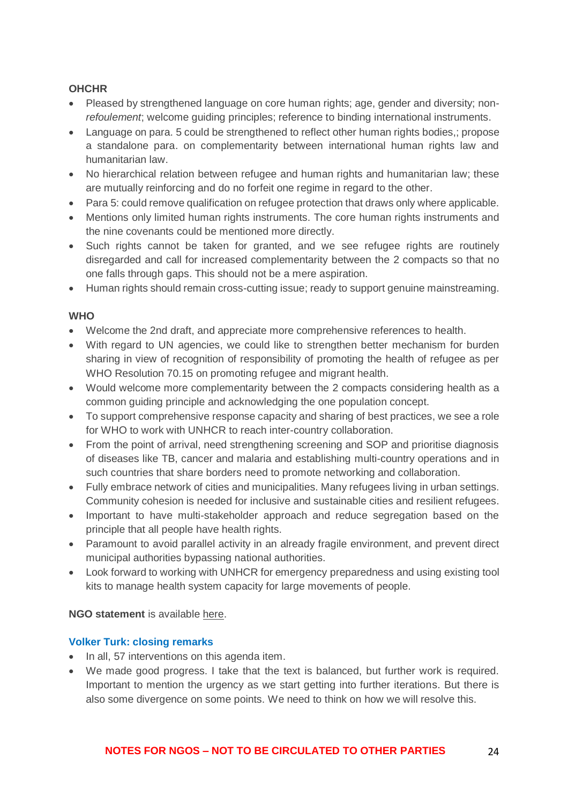## **OHCHR**

- Pleased by strengthened language on core human rights; age, gender and diversity; non*refoulement*; welcome guiding principles; reference to binding international instruments.
- Language on para, 5 could be strengthened to reflect other human rights bodies, propose a standalone para. on complementarity between international human rights law and humanitarian law.
- No hierarchical relation between refugee and human rights and humanitarian law; these are mutually reinforcing and do no forfeit one regime in regard to the other.
- Para 5: could remove qualification on refugee protection that draws only where applicable.
- Mentions only limited human rights instruments. The core human rights instruments and the nine covenants could be mentioned more directly.
- Such rights cannot be taken for granted, and we see refugee rights are routinely disregarded and call for increased complementarity between the 2 compacts so that no one falls through gaps. This should not be a mere aspiration.
- Human rights should remain cross-cutting issue; ready to support genuine mainstreaming.

#### **WHO**

- Welcome the 2nd draft, and appreciate more comprehensive references to health.
- With regard to UN agencies, we could like to strengthen better mechanism for burden sharing in view of recognition of responsibility of promoting the health of refugee as per WHO Resolution 70.15 on promoting refugee and migrant health.
- Would welcome more complementarity between the 2 compacts considering health as a common guiding principle and acknowledging the one population concept.
- To support comprehensive response capacity and sharing of best practices, we see a role for WHO to work with UNHCR to reach inter-country collaboration.
- From the point of arrival, need strengthening screening and SOP and prioritise diagnosis of diseases like TB, cancer and malaria and establishing multi-country operations and in such countries that share borders need to promote networking and collaboration.
- Fully embrace network of cities and municipalities. Many refugees living in urban settings. Community cohesion is needed for inclusive and sustainable cities and resilient refugees.
- Important to have multi-stakeholder approach and reduce segregation based on the principle that all people have health rights.
- Paramount to avoid parallel activity in an already fragile environment, and prevent direct municipal authorities bypassing national authorities.
- Look forward to working with UNHCR for emergency preparedness and using existing tool kits to manage health system capacity for large movements of people.

**NGO statement** is available [here.](https://www.icvanetwork.org/system/files/versions/Agenda%20item%201_Fourth%20Formal%20Consultations_ORAL_FINAL_May2018.pdf)

#### **Volker Turk: closing remarks**

- In all, 57 interventions on this agenda item.
- We made good progress. I take that the text is balanced, but further work is required. Important to mention the urgency as we start getting into further iterations. But there is also some divergence on some points. We need to think on how we will resolve this.